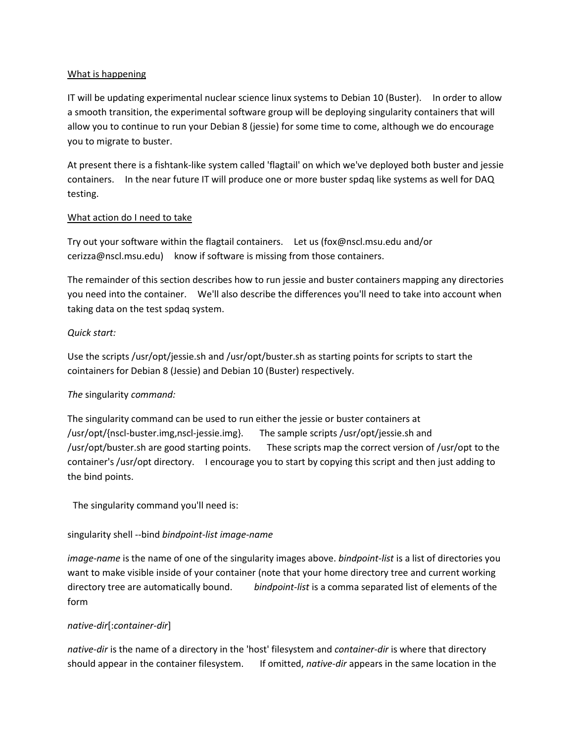## What is happening

IT will be updating experimental nuclear science linux systems to Debian 10 (Buster). In order to allow a smooth transition, the experimental software group will be deploying singularity containers that will allow you to continue to run your Debian 8 (jessie) for some time to come, although we do encourage you to migrate to buster.

At present there is a fishtank-like system called 'flagtail' on which we've deployed both buster and jessie containers. In the near future IT will produce one or more buster spdaq like systems as well for DAQ testing.

#### What action do I need to take

Try out your software within the flagtail containers. Let us (fox@nscl.msu.edu and/or cerizza@nscl.msu.edu) know if software is missing from those containers.

The remainder of this section describes how to run jessie and buster containers mapping any directories you need into the container. We'll also describe the differences you'll need to take into account when taking data on the test spdaq system.

## *Quick start:*

Use the scripts /usr/opt/jessie.sh and /usr/opt/buster.sh as starting points for scripts to start the cointainers for Debian 8 (Jessie) and Debian 10 (Buster) respectively.

## *The* singularity *command:*

The singularity command can be used to run either the jessie or buster containers at /usr/opt/{nscl-buster.img,nscl-jessie.img}. The sample scripts /usr/opt/jessie.sh and /usr/opt/buster.sh are good starting points. These scripts map the correct version of /usr/opt to the container's /usr/opt directory. I encourage you to start by copying this script and then just adding to the bind points.

The singularity command you'll need is:

## singularity shell --bind *bindpoint-list image-name*

*image-name* is the name of one of the singularity images above. *bindpoint-list* is a list of directories you want to make visible inside of your container (note that your home directory tree and current working directory tree are automatically bound. *bindpoint-list* is a comma separated list of elements of the form

#### *native-dir*[:*container-dir*]

*native-dir* is the name of a directory in the 'host' filesystem and *container-dir* is where that directory should appear in the container filesystem. If omitted, *native-dir* appears in the same location in the